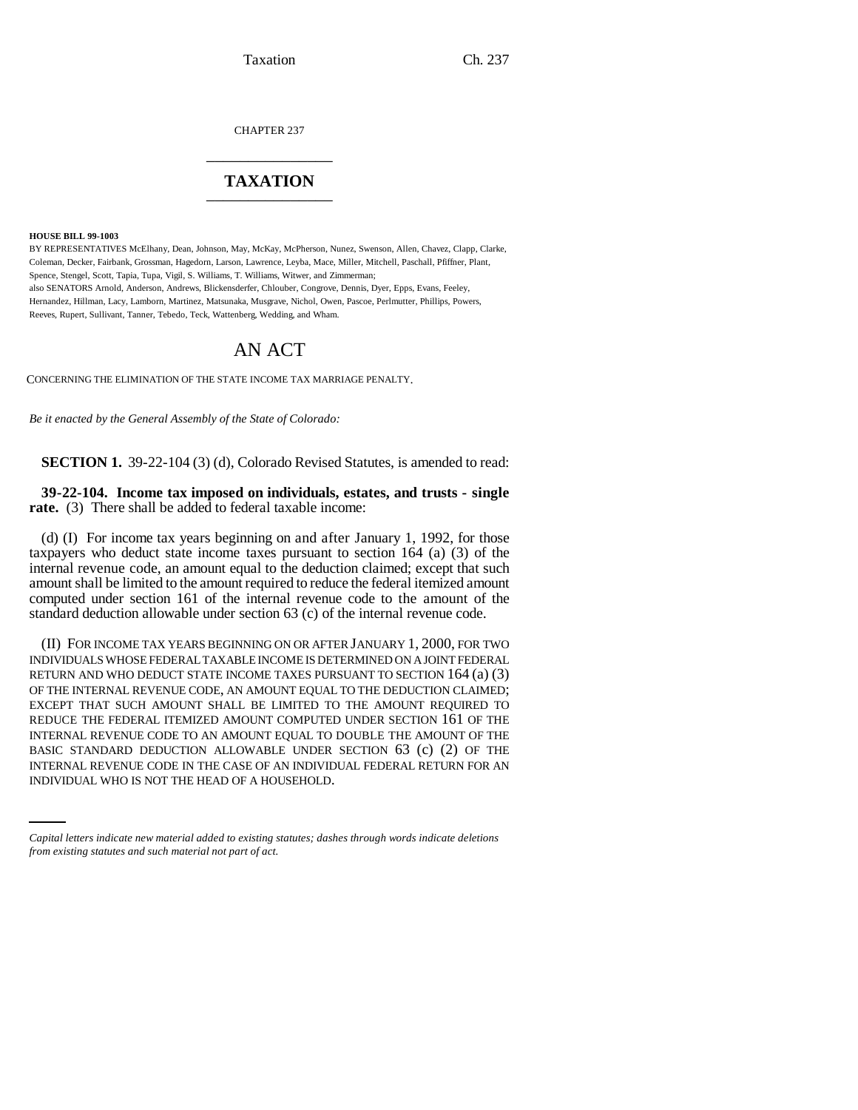Taxation Ch. 237

CHAPTER 237 \_\_\_\_\_\_\_\_\_\_\_\_\_\_\_

## **TAXATION** \_\_\_\_\_\_\_\_\_\_\_\_\_\_\_

**HOUSE BILL 99-1003** 

BY REPRESENTATIVES McElhany, Dean, Johnson, May, McKay, McPherson, Nunez, Swenson, Allen, Chavez, Clapp, Clarke, Coleman, Decker, Fairbank, Grossman, Hagedorn, Larson, Lawrence, Leyba, Mace, Miller, Mitchell, Paschall, Pfiffner, Plant, Spence, Stengel, Scott, Tapia, Tupa, Vigil, S. Williams, T. Williams, Witwer, and Zimmerman; also SENATORS Arnold, Anderson, Andrews, Blickensderfer, Chlouber, Congrove, Dennis, Dyer, Epps, Evans, Feeley, Hernandez, Hillman, Lacy, Lamborn, Martinez, Matsunaka, Musgrave, Nichol, Owen, Pascoe, Perlmutter, Phillips, Powers, Reeves, Rupert, Sullivant, Tanner, Tebedo, Teck, Wattenberg, Wedding, and Wham.

## AN ACT

CONCERNING THE ELIMINATION OF THE STATE INCOME TAX MARRIAGE PENALTY.

*Be it enacted by the General Assembly of the State of Colorado:*

**SECTION 1.** 39-22-104 (3) (d), Colorado Revised Statutes, is amended to read:

**39-22-104. Income tax imposed on individuals, estates, and trusts - single rate.** (3) There shall be added to federal taxable income:

(d) (I) For income tax years beginning on and after January 1, 1992, for those taxpayers who deduct state income taxes pursuant to section 164 (a) (3) of the internal revenue code, an amount equal to the deduction claimed; except that such amount shall be limited to the amount required to reduce the federal itemized amount computed under section 161 of the internal revenue code to the amount of the standard deduction allowable under section 63 (c) of the internal revenue code.

BASIC STANDARD DEDUCTION ALLOWABLE UNDER SECTION 63 (c) (2) OF THE (II) FOR INCOME TAX YEARS BEGINNING ON OR AFTER JANUARY 1, 2000, FOR TWO INDIVIDUALS WHOSE FEDERAL TAXABLE INCOME IS DETERMINED ON A JOINT FEDERAL RETURN AND WHO DEDUCT STATE INCOME TAXES PURSUANT TO SECTION 164 (a) (3) OF THE INTERNAL REVENUE CODE, AN AMOUNT EQUAL TO THE DEDUCTION CLAIMED; EXCEPT THAT SUCH AMOUNT SHALL BE LIMITED TO THE AMOUNT REQUIRED TO REDUCE THE FEDERAL ITEMIZED AMOUNT COMPUTED UNDER SECTION 161 OF THE INTERNAL REVENUE CODE TO AN AMOUNT EQUAL TO DOUBLE THE AMOUNT OF THE INTERNAL REVENUE CODE IN THE CASE OF AN INDIVIDUAL FEDERAL RETURN FOR AN INDIVIDUAL WHO IS NOT THE HEAD OF A HOUSEHOLD.

*Capital letters indicate new material added to existing statutes; dashes through words indicate deletions from existing statutes and such material not part of act.*